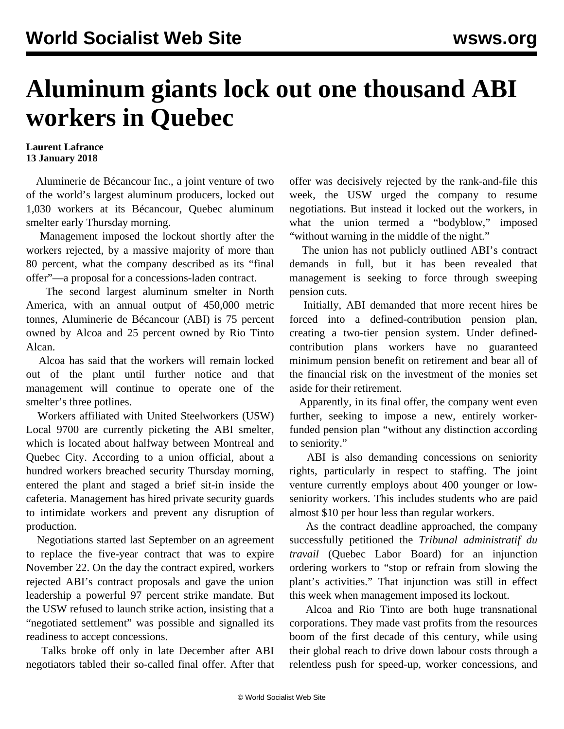## **Aluminum giants lock out one thousand ABI workers in Quebec**

## **Laurent Lafrance 13 January 2018**

 Aluminerie de Bécancour Inc., a joint venture of two of the world's largest aluminum producers, locked out 1,030 workers at its Bécancour, Quebec aluminum smelter early Thursday morning.

 Management imposed the lockout shortly after the workers rejected, by a massive majority of more than 80 percent, what the company described as its "final offer"—a proposal for a concessions-laden contract.

 The second largest aluminum smelter in North America, with an annual output of 450,000 metric tonnes, Aluminerie de Bécancour (ABI) is 75 percent owned by Alcoa and 25 percent owned by Rio Tinto Alcan.

 Alcoa has said that the workers will remain locked out of the plant until further notice and that management will continue to operate one of the smelter's three potlines.

 Workers affiliated with United Steelworkers (USW) Local 9700 are currently picketing the ABI smelter, which is located about halfway between Montreal and Quebec City. According to a union official, about a hundred workers breached security Thursday morning, entered the plant and staged a brief sit-in inside the cafeteria. Management has hired private security guards to intimidate workers and prevent any disruption of production.

 Negotiations started last September on an agreement to replace the five-year contract that was to expire November 22. On the day the contract expired, workers rejected ABI's contract proposals and gave the union leadership a powerful 97 percent strike mandate. But the USW refused to launch strike action, insisting that a "negotiated settlement" was possible and signalled its readiness to accept concessions.

 Talks broke off only in late December after ABI negotiators tabled their so-called final offer. After that offer was decisively rejected by the rank-and-file this week, the USW urged the company to resume negotiations. But instead it locked out the workers, in what the union termed a "bodyblow," imposed "without warning in the middle of the night."

 The union has not publicly outlined ABI's contract demands in full, but it has been revealed that management is seeking to force through sweeping pension cuts.

 Initially, ABI demanded that more recent hires be forced into a defined-contribution pension plan, creating a two-tier pension system. Under definedcontribution plans workers have no guaranteed minimum pension benefit on retirement and bear all of the financial risk on the investment of the monies set aside for their retirement.

 Apparently, in its final offer, the company went even further, seeking to impose a new, entirely workerfunded pension plan "without any distinction according to seniority."

 ABI is also demanding concessions on seniority rights, particularly in respect to staffing. The joint venture currently employs about 400 younger or lowseniority workers. This includes students who are paid almost \$10 per hour less than regular workers.

 As the contract deadline approached, the company successfully petitioned the *Tribunal administratif du travail* (Quebec Labor Board) for an injunction ordering workers to "stop or refrain from slowing the plant's activities." That injunction was still in effect this week when management imposed its lockout.

 Alcoa and Rio Tinto are both huge transnational corporations. They made vast profits from the resources boom of the first decade of this century, while using their global reach to drive down labour costs through a relentless push for speed-up, worker concessions, and